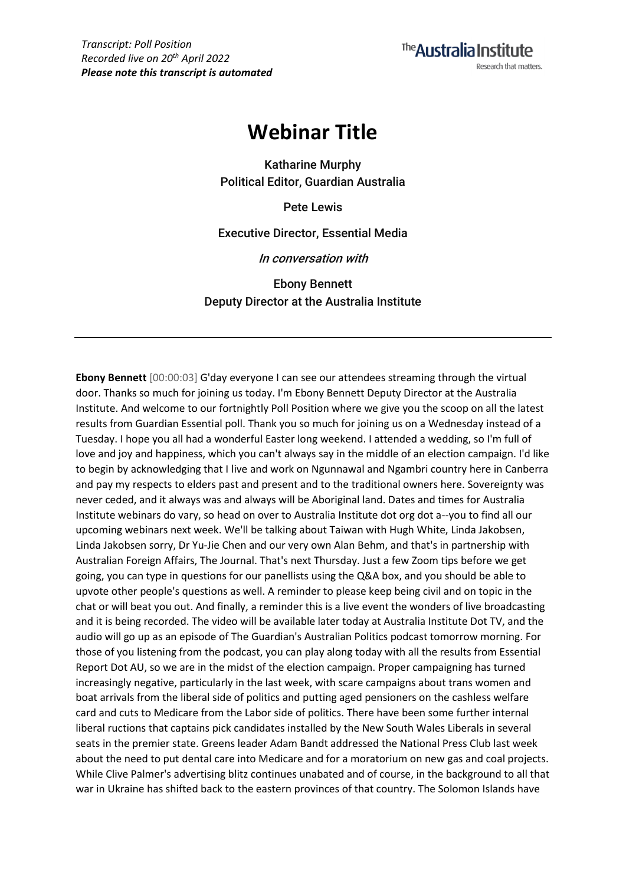The Australia Institute Research that matters.

# **Webinar Title**

**Katharine Murphy Political Editor, Guardian Australia**

**Pete Lewis**

**Executive Director, Essential Media**

**In conversation with**

**Ebony Bennett Deputy Director at the Australia Institute**

**Ebony Bennett** [00:00:03] G'day everyone I can see our attendees streaming through the virtual door. Thanks so much for joining us today. I'm Ebony Bennett Deputy Director at the Australia Institute. And welcome to our fortnightly Poll Position where we give you the scoop on all the latest results from Guardian Essential poll. Thank you so much for joining us on a Wednesday instead of a Tuesday. I hope you all had a wonderful Easter long weekend. I attended a wedding, so I'm full of love and joy and happiness, which you can't always say in the middle of an election campaign. I'd like to begin by acknowledging that I live and work on Ngunnawal and Ngambri country here in Canberra and pay my respects to elders past and present and to the traditional owners here. Sovereignty was never ceded, and it always was and always will be Aboriginal land. Dates and times for Australia Institute webinars do vary, so head on over to Australia Institute dot org dot a--you to find all our upcoming webinars next week. We'll be talking about Taiwan with Hugh White, Linda Jakobsen, Linda Jakobsen sorry, Dr Yu-Jie Chen and our very own Alan Behm, and that's in partnership with Australian Foreign Affairs, The Journal. That's next Thursday. Just a few Zoom tips before we get going, you can type in questions for our panellists using the Q&A box, and you should be able to upvote other people's questions as well. A reminder to please keep being civil and on topic in the chat or will beat you out. And finally, a reminder this is a live event the wonders of live broadcasting and it is being recorded. The video will be available later today at Australia Institute Dot TV, and the audio will go up as an episode of The Guardian's Australian Politics podcast tomorrow morning. For those of you listening from the podcast, you can play along today with all the results from Essential Report Dot AU, so we are in the midst of the election campaign. Proper campaigning has turned increasingly negative, particularly in the last week, with scare campaigns about trans women and boat arrivals from the liberal side of politics and putting aged pensioners on the cashless welfare card and cuts to Medicare from the Labor side of politics. There have been some further internal liberal ructions that captains pick candidates installed by the New South Wales Liberals in several seats in the premier state. Greens leader Adam Bandt addressed the National Press Club last week about the need to put dental care into Medicare and for a moratorium on new gas and coal projects. While Clive Palmer's advertising blitz continues unabated and of course, in the background to all that war in Ukraine has shifted back to the eastern provinces of that country. The Solomon Islands have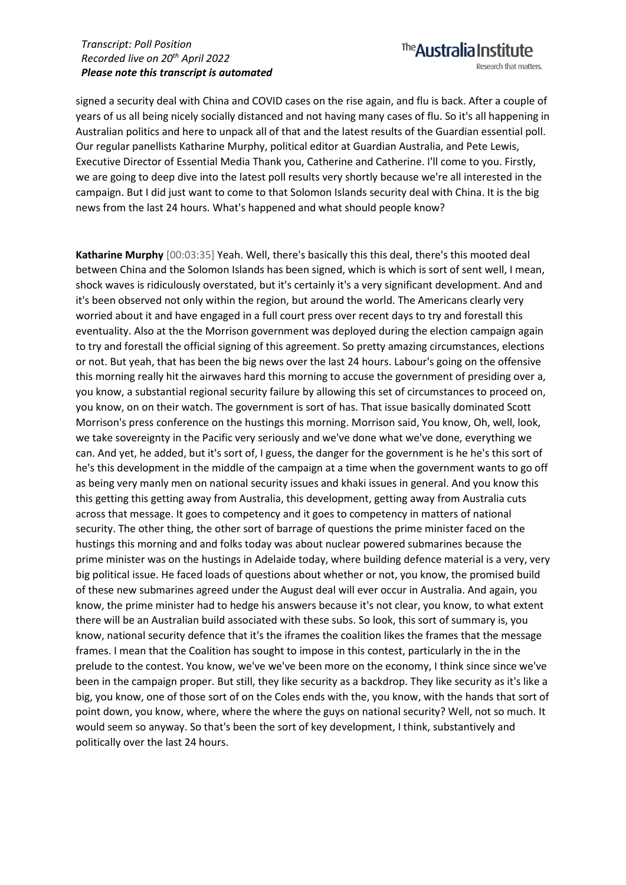signed a security deal with China and COVID cases on the rise again, and flu is back. After a couple of years of us all being nicely socially distanced and not having many cases of flu. So it's all happening in Australian politics and here to unpack all of that and the latest results of the Guardian essential poll. Our regular panellists Katharine Murphy, political editor at Guardian Australia, and Pete Lewis, Executive Director of Essential Media Thank you, Catherine and Catherine. I'll come to you. Firstly, we are going to deep dive into the latest poll results very shortly because we're all interested in the campaign. But I did just want to come to that Solomon Islands security deal with China. It is the big news from the last 24 hours. What's happened and what should people know?

**Katharine Murphy** [00:03:35] Yeah. Well, there's basically this this deal, there's this mooted deal between China and the Solomon Islands has been signed, which is which is sort of sent well, I mean, shock waves is ridiculously overstated, but it's certainly it's a very significant development. And and it's been observed not only within the region, but around the world. The Americans clearly very worried about it and have engaged in a full court press over recent days to try and forestall this eventuality. Also at the the Morrison government was deployed during the election campaign again to try and forestall the official signing of this agreement. So pretty amazing circumstances, elections or not. But yeah, that has been the big news over the last 24 hours. Labour's going on the offensive this morning really hit the airwaves hard this morning to accuse the government of presiding over a, you know, a substantial regional security failure by allowing this set of circumstances to proceed on, you know, on on their watch. The government is sort of has. That issue basically dominated Scott Morrison's press conference on the hustings this morning. Morrison said, You know, Oh, well, look, we take sovereignty in the Pacific very seriously and we've done what we've done, everything we can. And yet, he added, but it's sort of, I guess, the danger for the government is he he's this sort of he's this development in the middle of the campaign at a time when the government wants to go off as being very manly men on national security issues and khaki issues in general. And you know this this getting this getting away from Australia, this development, getting away from Australia cuts across that message. It goes to competency and it goes to competency in matters of national security. The other thing, the other sort of barrage of questions the prime minister faced on the hustings this morning and and folks today was about nuclear powered submarines because the prime minister was on the hustings in Adelaide today, where building defence material is a very, very big political issue. He faced loads of questions about whether or not, you know, the promised build of these new submarines agreed under the August deal will ever occur in Australia. And again, you know, the prime minister had to hedge his answers because it's not clear, you know, to what extent there will be an Australian build associated with these subs. So look, this sort of summary is, you know, national security defence that it's the iframes the coalition likes the frames that the message frames. I mean that the Coalition has sought to impose in this contest, particularly in the in the prelude to the contest. You know, we've we've been more on the economy, I think since since we've been in the campaign proper. But still, they like security as a backdrop. They like security as it's like a big, you know, one of those sort of on the Coles ends with the, you know, with the hands that sort of point down, you know, where, where the where the guys on national security? Well, not so much. It would seem so anyway. So that's been the sort of key development, I think, substantively and politically over the last 24 hours.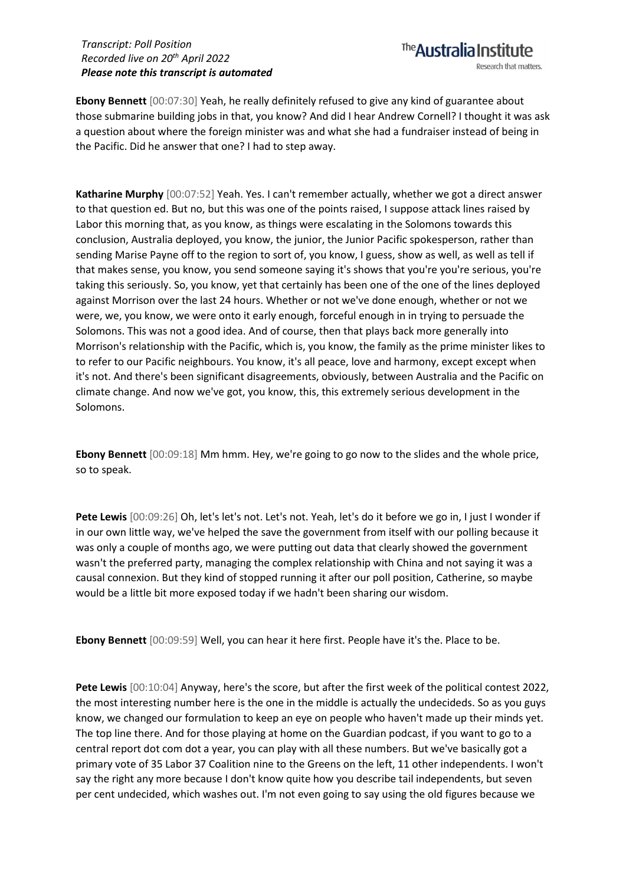**Ebony Bennett** [00:07:30] Yeah, he really definitely refused to give any kind of guarantee about those submarine building jobs in that, you know? And did I hear Andrew Cornell? I thought it was ask a question about where the foreign minister was and what she had a fundraiser instead of being in the Pacific. Did he answer that one? I had to step away.

The **Australia Institute** 

Research that matters.

**Katharine Murphy** [00:07:52] Yeah. Yes. I can't remember actually, whether we got a direct answer to that question ed. But no, but this was one of the points raised, I suppose attack lines raised by Labor this morning that, as you know, as things were escalating in the Solomons towards this conclusion, Australia deployed, you know, the junior, the Junior Pacific spokesperson, rather than sending Marise Payne off to the region to sort of, you know, I guess, show as well, as well as tell if that makes sense, you know, you send someone saying it's shows that you're you're serious, you're taking this seriously. So, you know, yet that certainly has been one of the one of the lines deployed against Morrison over the last 24 hours. Whether or not we've done enough, whether or not we were, we, you know, we were onto it early enough, forceful enough in in trying to persuade the Solomons. This was not a good idea. And of course, then that plays back more generally into Morrison's relationship with the Pacific, which is, you know, the family as the prime minister likes to to refer to our Pacific neighbours. You know, it's all peace, love and harmony, except except when it's not. And there's been significant disagreements, obviously, between Australia and the Pacific on climate change. And now we've got, you know, this, this extremely serious development in the Solomons.

**Ebony Bennett** [00:09:18] Mm hmm. Hey, we're going to go now to the slides and the whole price, so to speak.

**Pete Lewis** [00:09:26] Oh, let's let's not. Let's not. Yeah, let's do it before we go in, I just I wonder if in our own little way, we've helped the save the government from itself with our polling because it was only a couple of months ago, we were putting out data that clearly showed the government wasn't the preferred party, managing the complex relationship with China and not saying it was a causal connexion. But they kind of stopped running it after our poll position, Catherine, so maybe would be a little bit more exposed today if we hadn't been sharing our wisdom.

**Ebony Bennett** [00:09:59] Well, you can hear it here first. People have it's the. Place to be.

Pete Lewis  $[00:10:04]$  Anyway, here's the score, but after the first week of the political contest 2022, the most interesting number here is the one in the middle is actually the undecideds. So as you guys know, we changed our formulation to keep an eye on people who haven't made up their minds yet. The top line there. And for those playing at home on the Guardian podcast, if you want to go to a central report dot com dot a year, you can play with all these numbers. But we've basically got a primary vote of 35 Labor 37 Coalition nine to the Greens on the left, 11 other independents. I won't say the right any more because I don't know quite how you describe tail independents, but seven per cent undecided, which washes out. I'm not even going to say using the old figures because we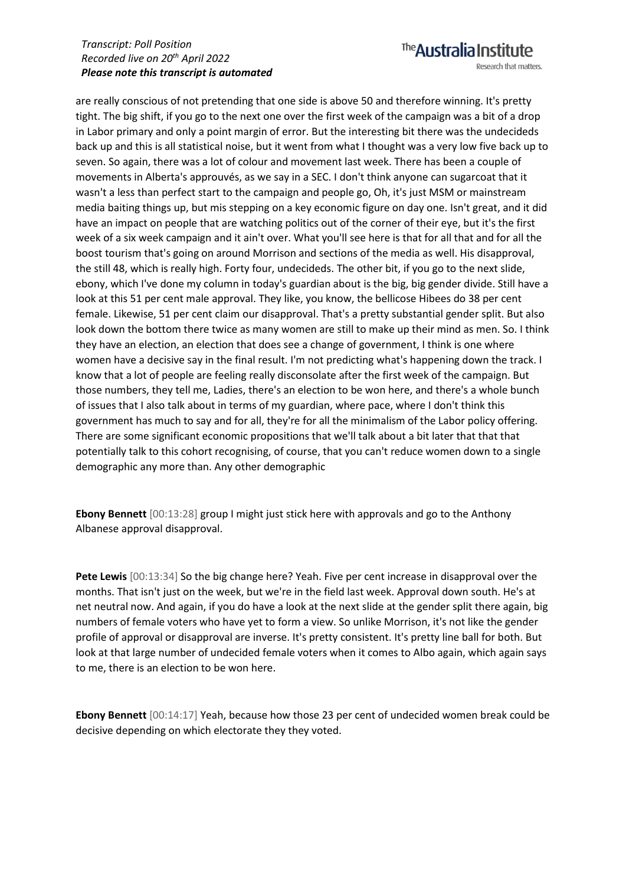The **Australia Institute** Research that matters.

are really conscious of not pretending that one side is above 50 and therefore winning. It's pretty tight. The big shift, if you go to the next one over the first week of the campaign was a bit of a drop in Labor primary and only a point margin of error. But the interesting bit there was the undecideds back up and this is all statistical noise, but it went from what I thought was a very low five back up to seven. So again, there was a lot of colour and movement last week. There has been a couple of movements in Alberta's approuvés, as we say in a SEC. I don't think anyone can sugarcoat that it wasn't a less than perfect start to the campaign and people go, Oh, it's just MSM or mainstream media baiting things up, but mis stepping on a key economic figure on day one. Isn't great, and it did have an impact on people that are watching politics out of the corner of their eye, but it's the first week of a six week campaign and it ain't over. What you'll see here is that for all that and for all the boost tourism that's going on around Morrison and sections of the media as well. His disapproval, the still 48, which is really high. Forty four, undecideds. The other bit, if you go to the next slide, ebony, which I've done my column in today's guardian about is the big, big gender divide. Still have a look at this 51 per cent male approval. They like, you know, the bellicose Hibees do 38 per cent female. Likewise, 51 per cent claim our disapproval. That's a pretty substantial gender split. But also look down the bottom there twice as many women are still to make up their mind as men. So. I think they have an election, an election that does see a change of government, I think is one where women have a decisive say in the final result. I'm not predicting what's happening down the track. I know that a lot of people are feeling really disconsolate after the first week of the campaign. But those numbers, they tell me, Ladies, there's an election to be won here, and there's a whole bunch of issues that I also talk about in terms of my guardian, where pace, where I don't think this government has much to say and for all, they're for all the minimalism of the Labor policy offering. There are some significant economic propositions that we'll talk about a bit later that that that potentially talk to this cohort recognising, of course, that you can't reduce women down to a single demographic any more than. Any other demographic

**Ebony Bennett** [00:13:28] group I might just stick here with approvals and go to the Anthony Albanese approval disapproval.

**Pete Lewis** [00:13:34] So the big change here? Yeah. Five per cent increase in disapproval over the months. That isn't just on the week, but we're in the field last week. Approval down south. He's at net neutral now. And again, if you do have a look at the next slide at the gender split there again, big numbers of female voters who have yet to form a view. So unlike Morrison, it's not like the gender profile of approval or disapproval are inverse. It's pretty consistent. It's pretty line ball for both. But look at that large number of undecided female voters when it comes to Albo again, which again says to me, there is an election to be won here.

**Ebony Bennett** [00:14:17] Yeah, because how those 23 per cent of undecided women break could be decisive depending on which electorate they they voted.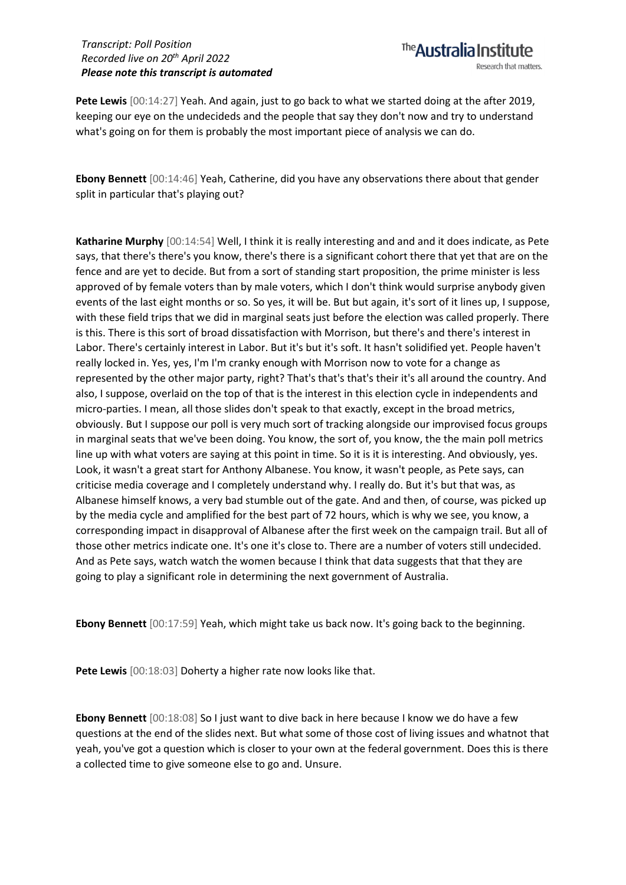**Pete Lewis** [00:14:27] Yeah. And again, just to go back to what we started doing at the after 2019, keeping our eye on the undecideds and the people that say they don't now and try to understand what's going on for them is probably the most important piece of analysis we can do.

**Ebony Bennett** [00:14:46] Yeah, Catherine, did you have any observations there about that gender split in particular that's playing out?

**Katharine Murphy** [00:14:54] Well, I think it is really interesting and and and it does indicate, as Pete says, that there's there's you know, there's there is a significant cohort there that yet that are on the fence and are yet to decide. But from a sort of standing start proposition, the prime minister is less approved of by female voters than by male voters, which I don't think would surprise anybody given events of the last eight months or so. So yes, it will be. But but again, it's sort of it lines up, I suppose, with these field trips that we did in marginal seats just before the election was called properly. There is this. There is this sort of broad dissatisfaction with Morrison, but there's and there's interest in Labor. There's certainly interest in Labor. But it's but it's soft. It hasn't solidified yet. People haven't really locked in. Yes, yes, I'm I'm cranky enough with Morrison now to vote for a change as represented by the other major party, right? That's that's that's their it's all around the country. And also, I suppose, overlaid on the top of that is the interest in this election cycle in independents and micro-parties. I mean, all those slides don't speak to that exactly, except in the broad metrics, obviously. But I suppose our poll is very much sort of tracking alongside our improvised focus groups in marginal seats that we've been doing. You know, the sort of, you know, the the main poll metrics line up with what voters are saying at this point in time. So it is it is interesting. And obviously, yes. Look, it wasn't a great start for Anthony Albanese. You know, it wasn't people, as Pete says, can criticise media coverage and I completely understand why. I really do. But it's but that was, as Albanese himself knows, a very bad stumble out of the gate. And and then, of course, was picked up by the media cycle and amplified for the best part of 72 hours, which is why we see, you know, a corresponding impact in disapproval of Albanese after the first week on the campaign trail. But all of those other metrics indicate one. It's one it's close to. There are a number of voters still undecided. And as Pete says, watch watch the women because I think that data suggests that that they are going to play a significant role in determining the next government of Australia.

**Ebony Bennett** [00:17:59] Yeah, which might take us back now. It's going back to the beginning.

Pete Lewis [00:18:03] Doherty a higher rate now looks like that.

**Ebony Bennett** [00:18:08] So I just want to dive back in here because I know we do have a few questions at the end of the slides next. But what some of those cost of living issues and whatnot that yeah, you've got a question which is closer to your own at the federal government. Does this is there a collected time to give someone else to go and. Unsure.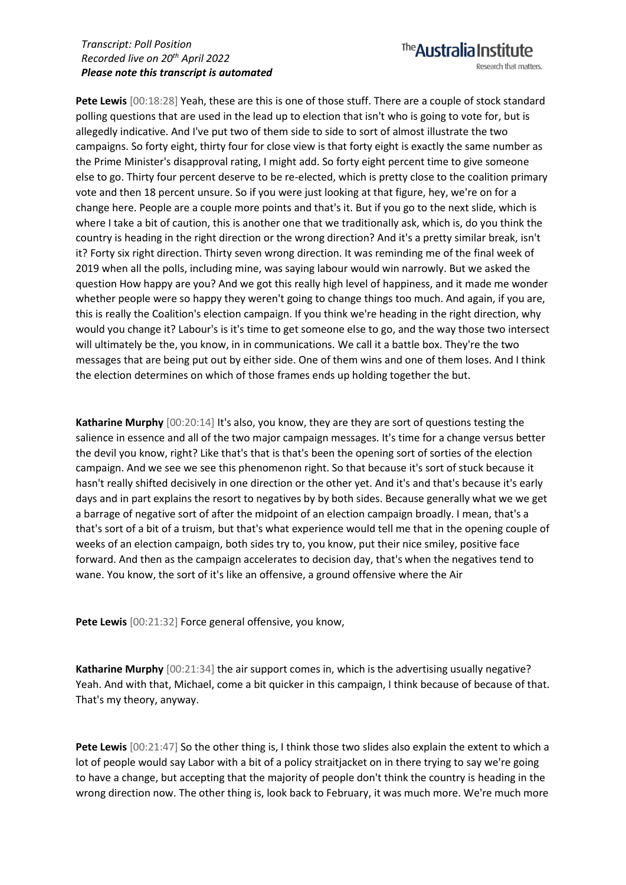**Pete Lewis** [00:18:28] Yeah, these are this is one of those stuff. There are a couple of stock standard polling questions that are used in the lead up to election that isn't who is going to vote for, but is allegedly indicative. And I've put two of them side to side to sort of almost illustrate the two campaigns. So forty eight, thirty four for close view is that forty eight is exactly the same number as the Prime Minister's disapproval rating, I might add. So forty eight percent time to give someone else to go. Thirty four percent deserve to be re-elected, which is pretty close to the coalition primary vote and then 18 percent unsure. So if you were just looking at that figure, hey, we're on for a change here. People are a couple more points and that's it. But if you go to the next slide, which is where I take a bit of caution, this is another one that we traditionally ask, which is, do you think the country is heading in the right direction or the wrong direction? And it's a pretty similar break, isn't it? Forty six right direction. Thirty seven wrong direction. It was reminding me of the final week of 2019 when all the polls, including mine, was saying labour would win narrowly. But we asked the question How happy are you? And we got this really high level of happiness, and it made me wonder whether people were so happy they weren't going to change things too much. And again, if you are, this is really the Coalition's election campaign. If you think we're heading in the right direction, why would you change it? Labour's is it's time to get someone else to go, and the way those two intersect will ultimately be the, you know, in in communications. We call it a battle box. They're the two messages that are being put out by either side. One of them wins and one of them loses. And I think the election determines on which of those frames ends up holding together the but.

**Katharine Murphy** [00:20:14] It's also, you know, they are they are sort of questions testing the salience in essence and all of the two major campaign messages. It's time for a change versus better the devil you know, right? Like that's that is that's been the opening sort of sorties of the election campaign. And we see we see this phenomenon right. So that because it's sort of stuck because it hasn't really shifted decisively in one direction or the other yet. And it's and that's because it's early days and in part explains the resort to negatives by by both sides. Because generally what we we get a barrage of negative sort of after the midpoint of an election campaign broadly. I mean, that's a that's sort of a bit of a truism, but that's what experience would tell me that in the opening couple of weeks of an election campaign, both sides try to, you know, put their nice smiley, positive face forward. And then as the campaign accelerates to decision day, that's when the negatives tend to wane. You know, the sort of it's like an offensive, a ground offensive where the Air

**Pete Lewis** [00:21:32] Force general offensive, you know,

**Katharine Murphy** [00:21:34] the air support comes in, which is the advertising usually negative? Yeah. And with that, Michael, come a bit quicker in this campaign, I think because of because of that. That's my theory, anyway.

Pete Lewis  $[00:21:47]$  So the other thing is, I think those two slides also explain the extent to which a lot of people would say Labor with a bit of a policy straitjacket on in there trying to say we're going to have a change, but accepting that the majority of people don't think the country is heading in the wrong direction now. The other thing is, look back to February, it was much more. We're much more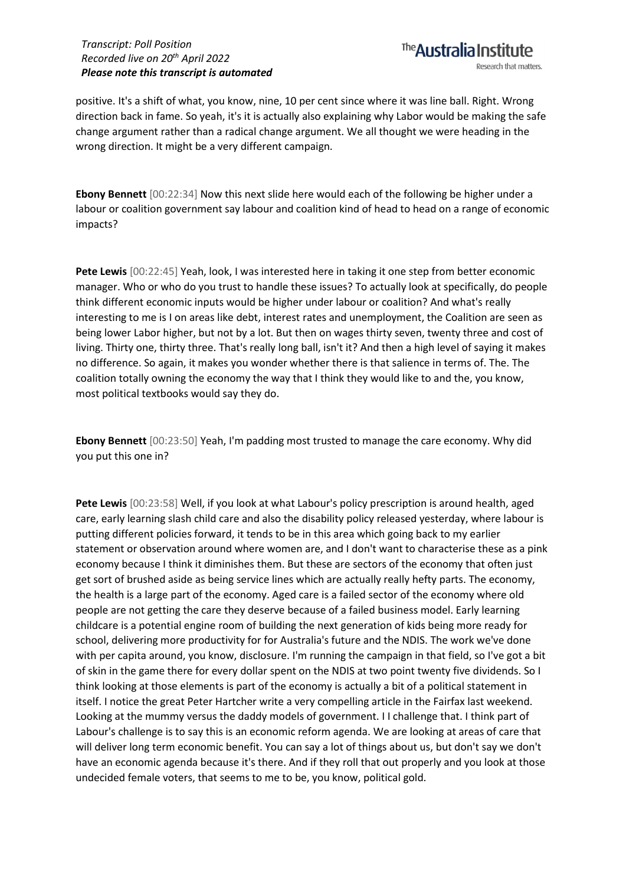

positive. It's a shift of what, you know, nine, 10 per cent since where it was line ball. Right. Wrong direction back in fame. So yeah, it's it is actually also explaining why Labor would be making the safe change argument rather than a radical change argument. We all thought we were heading in the wrong direction. It might be a very different campaign.

**Ebony Bennett** [00:22:34] Now this next slide here would each of the following be higher under a labour or coalition government say labour and coalition kind of head to head on a range of economic impacts?

**Pete Lewis** [00:22:45] Yeah, look, I was interested here in taking it one step from better economic manager. Who or who do you trust to handle these issues? To actually look at specifically, do people think different economic inputs would be higher under labour or coalition? And what's really interesting to me is I on areas like debt, interest rates and unemployment, the Coalition are seen as being lower Labor higher, but not by a lot. But then on wages thirty seven, twenty three and cost of living. Thirty one, thirty three. That's really long ball, isn't it? And then a high level of saying it makes no difference. So again, it makes you wonder whether there is that salience in terms of. The. The coalition totally owning the economy the way that I think they would like to and the, you know, most political textbooks would say they do.

**Ebony Bennett** [00:23:50] Yeah, I'm padding most trusted to manage the care economy. Why did you put this one in?

**Pete Lewis** [00:23:58] Well, if you look at what Labour's policy prescription is around health, aged care, early learning slash child care and also the disability policy released yesterday, where labour is putting different policies forward, it tends to be in this area which going back to my earlier statement or observation around where women are, and I don't want to characterise these as a pink economy because I think it diminishes them. But these are sectors of the economy that often just get sort of brushed aside as being service lines which are actually really hefty parts. The economy, the health is a large part of the economy. Aged care is a failed sector of the economy where old people are not getting the care they deserve because of a failed business model. Early learning childcare is a potential engine room of building the next generation of kids being more ready for school, delivering more productivity for for Australia's future and the NDIS. The work we've done with per capita around, you know, disclosure. I'm running the campaign in that field, so I've got a bit of skin in the game there for every dollar spent on the NDIS at two point twenty five dividends. So I think looking at those elements is part of the economy is actually a bit of a political statement in itself. I notice the great Peter Hartcher write a very compelling article in the Fairfax last weekend. Looking at the mummy versus the daddy models of government. I I challenge that. I think part of Labour's challenge is to say this is an economic reform agenda. We are looking at areas of care that will deliver long term economic benefit. You can say a lot of things about us, but don't say we don't have an economic agenda because it's there. And if they roll that out properly and you look at those undecided female voters, that seems to me to be, you know, political gold.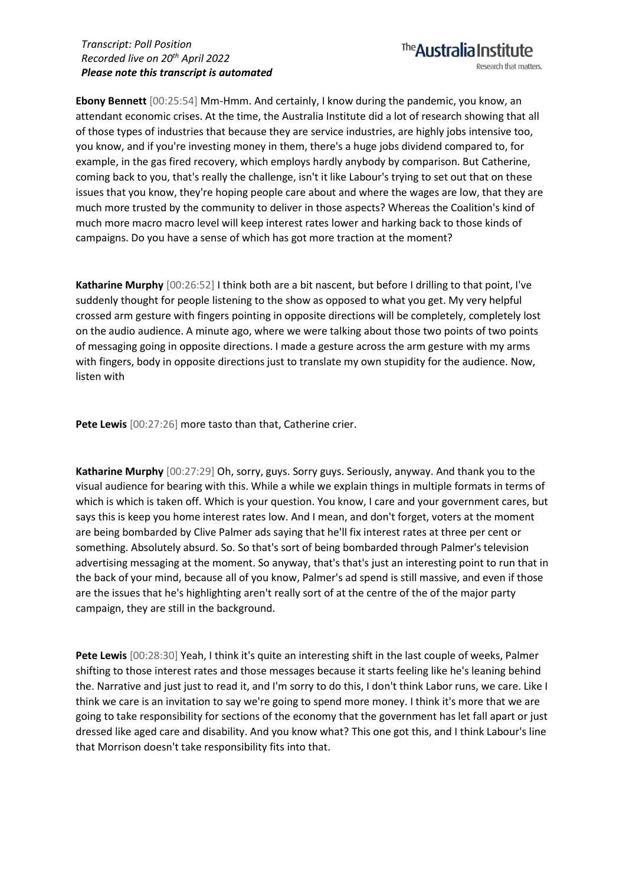**Ebony Bennett** [00:25:54] Mm-Hmm. And certainly, I know during the pandemic, you know, an attendant economic crises. At the time, the Australia Institute did a lot of research showing that all of those types of industries that because they are service industries, are highly jobs intensive too, you know, and if you're investing money in them, there's a huge jobs dividend compared to, for example, in the gas fired recovery, which employs hardly anybody by comparison. But Catherine, coming back to you, that's really the challenge, isn't it like Labour's trying to set out that on these issues that you know, they're hoping people care about and where the wages are low, that they are much more trusted by the community to deliver in those aspects? Whereas the Coalition's kind of much more macro macro level will keep interest rates lower and harking back to those kinds of campaigns. Do you have a sense of which has got more traction at the moment?

**Katharine Murphy** [00:26:52] I think both are a bit nascent, but before I drilling to that point, I've suddenly thought for people listening to the show as opposed to what you get. My very helpful crossed arm gesture with fingers pointing in opposite directions will be completely, completely lost on the audio audience. A minute ago, where we were talking about those two points of two points of messaging going in opposite directions. I made a gesture across the arm gesture with my arms with fingers, body in opposite directions just to translate my own stupidity for the audience. Now, listen with

Pete Lewis [00:27:26] more tasto than that, Catherine crier.

**Katharine Murphy** [00:27:29] Oh, sorry, guys. Sorry guys. Seriously, anyway. And thank you to the visual audience for bearing with this. While a while we explain things in multiple formats in terms of which is which is taken off. Which is your question. You know, I care and your government cares, but says this is keep you home interest rates low. And I mean, and don't forget, voters at the moment are being bombarded by Clive Palmer ads saying that he'll fix interest rates at three per cent or something. Absolutely absurd. So. So that's sort of being bombarded through Palmer's television advertising messaging at the moment. So anyway, that's that's just an interesting point to run that in the back of your mind, because all of you know, Palmer's ad spend is still massive, and even if those are the issues that he's highlighting aren't really sort of at the centre of the of the major party campaign, they are still in the background.

**Pete Lewis** [00:28:30] Yeah, I think it's quite an interesting shift in the last couple of weeks, Palmer shifting to those interest rates and those messages because it starts feeling like he's leaning behind the. Narrative and just just to read it, and I'm sorry to do this, I don't think Labor runs, we care. Like I think we care is an invitation to say we're going to spend more money. I think it's more that we are going to take responsibility for sections of the economy that the government has let fall apart or just dressed like aged care and disability. And you know what? This one got this, and I think Labour's line that Morrison doesn't take responsibility fits into that.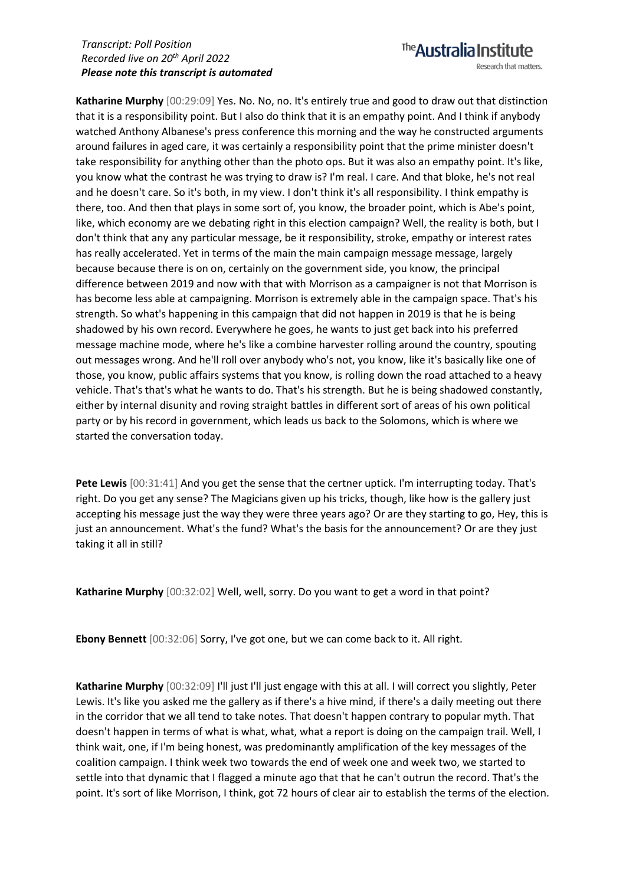**Katharine Murphy** [00:29:09] Yes. No. No, no. It's entirely true and good to draw out that distinction that it is a responsibility point. But I also do think that it is an empathy point. And I think if anybody watched Anthony Albanese's press conference this morning and the way he constructed arguments around failures in aged care, it was certainly a responsibility point that the prime minister doesn't take responsibility for anything other than the photo ops. But it was also an empathy point. It's like, you know what the contrast he was trying to draw is? I'm real. I care. And that bloke, he's not real and he doesn't care. So it's both, in my view. I don't think it's all responsibility. I think empathy is there, too. And then that plays in some sort of, you know, the broader point, which is Abe's point, like, which economy are we debating right in this election campaign? Well, the reality is both, but I don't think that any any particular message, be it responsibility, stroke, empathy or interest rates has really accelerated. Yet in terms of the main the main campaign message message, largely because because there is on on, certainly on the government side, you know, the principal difference between 2019 and now with that with Morrison as a campaigner is not that Morrison is has become less able at campaigning. Morrison is extremely able in the campaign space. That's his strength. So what's happening in this campaign that did not happen in 2019 is that he is being shadowed by his own record. Everywhere he goes, he wants to just get back into his preferred message machine mode, where he's like a combine harvester rolling around the country, spouting out messages wrong. And he'll roll over anybody who's not, you know, like it's basically like one of those, you know, public affairs systems that you know, is rolling down the road attached to a heavy vehicle. That's that's what he wants to do. That's his strength. But he is being shadowed constantly, either by internal disunity and roving straight battles in different sort of areas of his own political party or by his record in government, which leads us back to the Solomons, which is where we started the conversation today.

**Pete Lewis** [00:31:41] And you get the sense that the certner uptick. I'm interrupting today. That's right. Do you get any sense? The Magicians given up his tricks, though, like how is the gallery just accepting his message just the way they were three years ago? Or are they starting to go, Hey, this is just an announcement. What's the fund? What's the basis for the announcement? Or are they just taking it all in still?

**Katharine Murphy** [00:32:02] Well, well, sorry. Do you want to get a word in that point?

**Ebony Bennett** [00:32:06] Sorry, I've got one, but we can come back to it. All right.

Katharine Murphy [00:32:09] I'll just I'll just engage with this at all. I will correct you slightly, Peter Lewis. It's like you asked me the gallery as if there's a hive mind, if there's a daily meeting out there in the corridor that we all tend to take notes. That doesn't happen contrary to popular myth. That doesn't happen in terms of what is what, what, what a report is doing on the campaign trail. Well, I think wait, one, if I'm being honest, was predominantly amplification of the key messages of the coalition campaign. I think week two towards the end of week one and week two, we started to settle into that dynamic that I flagged a minute ago that that he can't outrun the record. That's the point. It's sort of like Morrison, I think, got 72 hours of clear air to establish the terms of the election.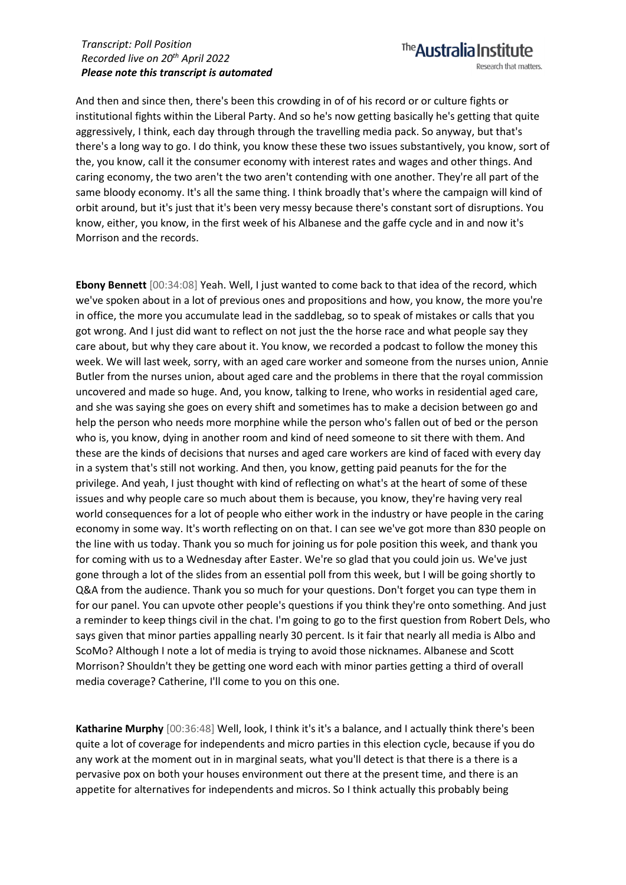Research that matters.

The **Australia Institute** 

And then and since then, there's been this crowding in of of his record or or culture fights or institutional fights within the Liberal Party. And so he's now getting basically he's getting that quite aggressively, I think, each day through through the travelling media pack. So anyway, but that's there's a long way to go. I do think, you know these these two issues substantively, you know, sort of the, you know, call it the consumer economy with interest rates and wages and other things. And caring economy, the two aren't the two aren't contending with one another. They're all part of the same bloody economy. It's all the same thing. I think broadly that's where the campaign will kind of orbit around, but it's just that it's been very messy because there's constant sort of disruptions. You know, either, you know, in the first week of his Albanese and the gaffe cycle and in and now it's Morrison and the records.

**Ebony Bennett** [00:34:08] Yeah. Well, I just wanted to come back to that idea of the record, which we've spoken about in a lot of previous ones and propositions and how, you know, the more you're in office, the more you accumulate lead in the saddlebag, so to speak of mistakes or calls that you got wrong. And I just did want to reflect on not just the the horse race and what people say they care about, but why they care about it. You know, we recorded a podcast to follow the money this week. We will last week, sorry, with an aged care worker and someone from the nurses union, Annie Butler from the nurses union, about aged care and the problems in there that the royal commission uncovered and made so huge. And, you know, talking to Irene, who works in residential aged care, and she was saying she goes on every shift and sometimes has to make a decision between go and help the person who needs more morphine while the person who's fallen out of bed or the person who is, you know, dying in another room and kind of need someone to sit there with them. And these are the kinds of decisions that nurses and aged care workers are kind of faced with every day in a system that's still not working. And then, you know, getting paid peanuts for the for the privilege. And yeah, I just thought with kind of reflecting on what's at the heart of some of these issues and why people care so much about them is because, you know, they're having very real world consequences for a lot of people who either work in the industry or have people in the caring economy in some way. It's worth reflecting on on that. I can see we've got more than 830 people on the line with us today. Thank you so much for joining us for pole position this week, and thank you for coming with us to a Wednesday after Easter. We're so glad that you could join us. We've just gone through a lot of the slides from an essential poll from this week, but I will be going shortly to Q&A from the audience. Thank you so much for your questions. Don't forget you can type them in for our panel. You can upvote other people's questions if you think they're onto something. And just a reminder to keep things civil in the chat. I'm going to go to the first question from Robert Dels, who says given that minor parties appalling nearly 30 percent. Is it fair that nearly all media is Albo and ScoMo? Although I note a lot of media is trying to avoid those nicknames. Albanese and Scott Morrison? Shouldn't they be getting one word each with minor parties getting a third of overall media coverage? Catherine, I'll come to you on this one.

**Katharine Murphy** [00:36:48] Well, look, I think it's it's a balance, and I actually think there's been quite a lot of coverage for independents and micro parties in this election cycle, because if you do any work at the moment out in in marginal seats, what you'll detect is that there is a there is a pervasive pox on both your houses environment out there at the present time, and there is an appetite for alternatives for independents and micros. So I think actually this probably being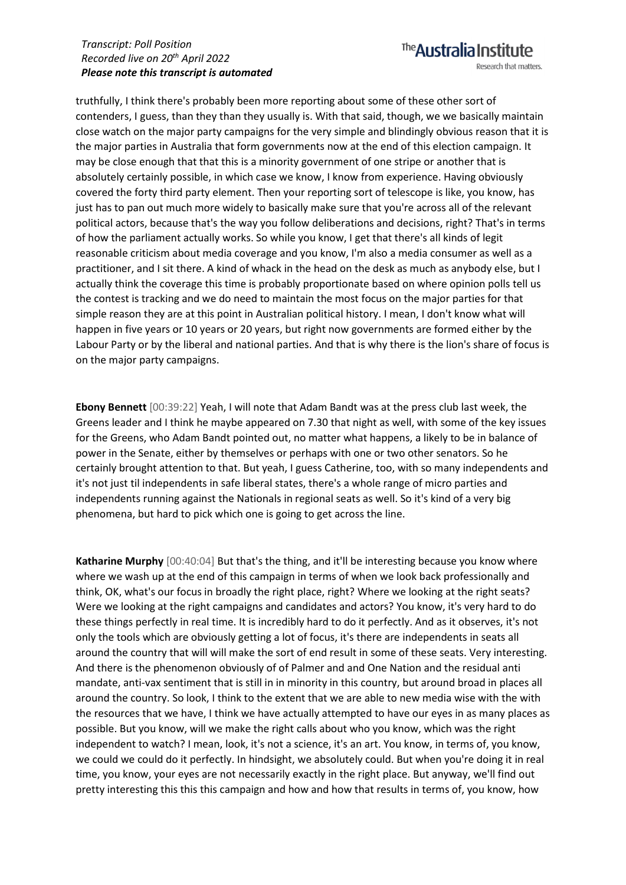## The **Australia Institute** Research that matters.

truthfully, I think there's probably been more reporting about some of these other sort of contenders, I guess, than they than they usually is. With that said, though, we we basically maintain close watch on the major party campaigns for the very simple and blindingly obvious reason that it is the major parties in Australia that form governments now at the end of this election campaign. It may be close enough that that this is a minority government of one stripe or another that is absolutely certainly possible, in which case we know, I know from experience. Having obviously covered the forty third party element. Then your reporting sort of telescope is like, you know, has just has to pan out much more widely to basically make sure that you're across all of the relevant political actors, because that's the way you follow deliberations and decisions, right? That's in terms of how the parliament actually works. So while you know, I get that there's all kinds of legit reasonable criticism about media coverage and you know, I'm also a media consumer as well as a practitioner, and I sit there. A kind of whack in the head on the desk as much as anybody else, but I actually think the coverage this time is probably proportionate based on where opinion polls tell us the contest is tracking and we do need to maintain the most focus on the major parties for that simple reason they are at this point in Australian political history. I mean, I don't know what will happen in five years or 10 years or 20 years, but right now governments are formed either by the Labour Party or by the liberal and national parties. And that is why there is the lion's share of focus is on the major party campaigns.

**Ebony Bennett** [00:39:22] Yeah, I will note that Adam Bandt was at the press club last week, the Greens leader and I think he maybe appeared on 7.30 that night as well, with some of the key issues for the Greens, who Adam Bandt pointed out, no matter what happens, a likely to be in balance of power in the Senate, either by themselves or perhaps with one or two other senators. So he certainly brought attention to that. But yeah, I guess Catherine, too, with so many independents and it's not just til independents in safe liberal states, there's a whole range of micro parties and independents running against the Nationals in regional seats as well. So it's kind of a very big phenomena, but hard to pick which one is going to get across the line.

**Katharine Murphy** [00:40:04] But that's the thing, and it'll be interesting because you know where where we wash up at the end of this campaign in terms of when we look back professionally and think, OK, what's our focus in broadly the right place, right? Where we looking at the right seats? Were we looking at the right campaigns and candidates and actors? You know, it's very hard to do these things perfectly in real time. It is incredibly hard to do it perfectly. And as it observes, it's not only the tools which are obviously getting a lot of focus, it's there are independents in seats all around the country that will will make the sort of end result in some of these seats. Very interesting. And there is the phenomenon obviously of of Palmer and and One Nation and the residual anti mandate, anti-vax sentiment that is still in in minority in this country, but around broad in places all around the country. So look, I think to the extent that we are able to new media wise with the with the resources that we have, I think we have actually attempted to have our eyes in as many places as possible. But you know, will we make the right calls about who you know, which was the right independent to watch? I mean, look, it's not a science, it's an art. You know, in terms of, you know, we could we could do it perfectly. In hindsight, we absolutely could. But when you're doing it in real time, you know, your eyes are not necessarily exactly in the right place. But anyway, we'll find out pretty interesting this this this campaign and how and how that results in terms of, you know, how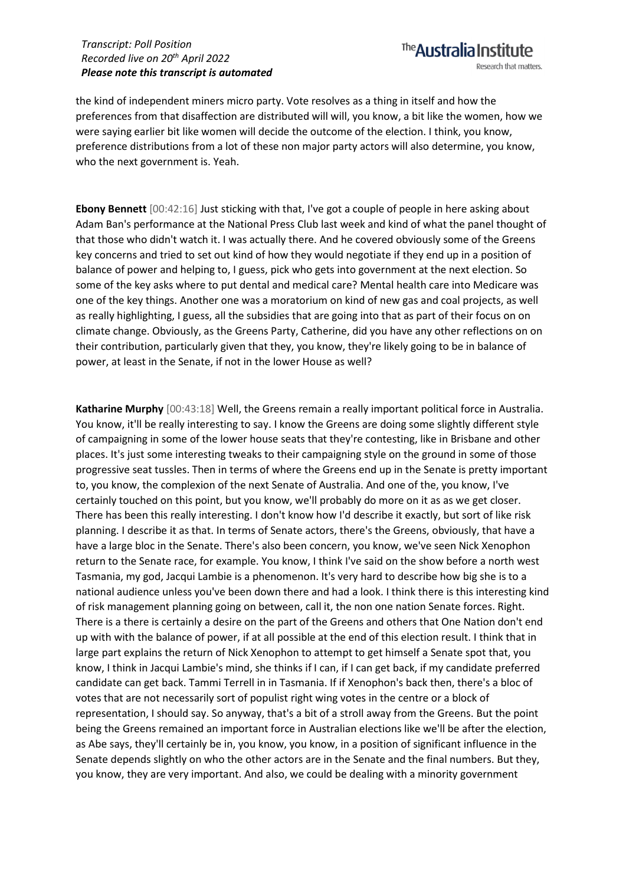The **Australia Institute** Research that matters.

the kind of independent miners micro party. Vote resolves as a thing in itself and how the preferences from that disaffection are distributed will will, you know, a bit like the women, how we were saying earlier bit like women will decide the outcome of the election. I think, you know, preference distributions from a lot of these non major party actors will also determine, you know, who the next government is. Yeah.

**Ebony Bennett** [00:42:16] Just sticking with that, I've got a couple of people in here asking about Adam Ban's performance at the National Press Club last week and kind of what the panel thought of that those who didn't watch it. I was actually there. And he covered obviously some of the Greens key concerns and tried to set out kind of how they would negotiate if they end up in a position of balance of power and helping to, I guess, pick who gets into government at the next election. So some of the key asks where to put dental and medical care? Mental health care into Medicare was one of the key things. Another one was a moratorium on kind of new gas and coal projects, as well as really highlighting, I guess, all the subsidies that are going into that as part of their focus on on climate change. Obviously, as the Greens Party, Catherine, did you have any other reflections on on their contribution, particularly given that they, you know, they're likely going to be in balance of power, at least in the Senate, if not in the lower House as well?

**Katharine Murphy** [00:43:18] Well, the Greens remain a really important political force in Australia. You know, it'll be really interesting to say. I know the Greens are doing some slightly different style of campaigning in some of the lower house seats that they're contesting, like in Brisbane and other places. It's just some interesting tweaks to their campaigning style on the ground in some of those progressive seat tussles. Then in terms of where the Greens end up in the Senate is pretty important to, you know, the complexion of the next Senate of Australia. And one of the, you know, I've certainly touched on this point, but you know, we'll probably do more on it as as we get closer. There has been this really interesting. I don't know how I'd describe it exactly, but sort of like risk planning. I describe it as that. In terms of Senate actors, there's the Greens, obviously, that have a have a large bloc in the Senate. There's also been concern, you know, we've seen Nick Xenophon return to the Senate race, for example. You know, I think I've said on the show before a north west Tasmania, my god, Jacqui Lambie is a phenomenon. It's very hard to describe how big she is to a national audience unless you've been down there and had a look. I think there is this interesting kind of risk management planning going on between, call it, the non one nation Senate forces. Right. There is a there is certainly a desire on the part of the Greens and others that One Nation don't end up with with the balance of power, if at all possible at the end of this election result. I think that in large part explains the return of Nick Xenophon to attempt to get himself a Senate spot that, you know, I think in Jacqui Lambie's mind, she thinks if I can, if I can get back, if my candidate preferred candidate can get back. Tammi Terrell in in Tasmania. If if Xenophon's back then, there's a bloc of votes that are not necessarily sort of populist right wing votes in the centre or a block of representation, I should say. So anyway, that's a bit of a stroll away from the Greens. But the point being the Greens remained an important force in Australian elections like we'll be after the election, as Abe says, they'll certainly be in, you know, you know, in a position of significant influence in the Senate depends slightly on who the other actors are in the Senate and the final numbers. But they, you know, they are very important. And also, we could be dealing with a minority government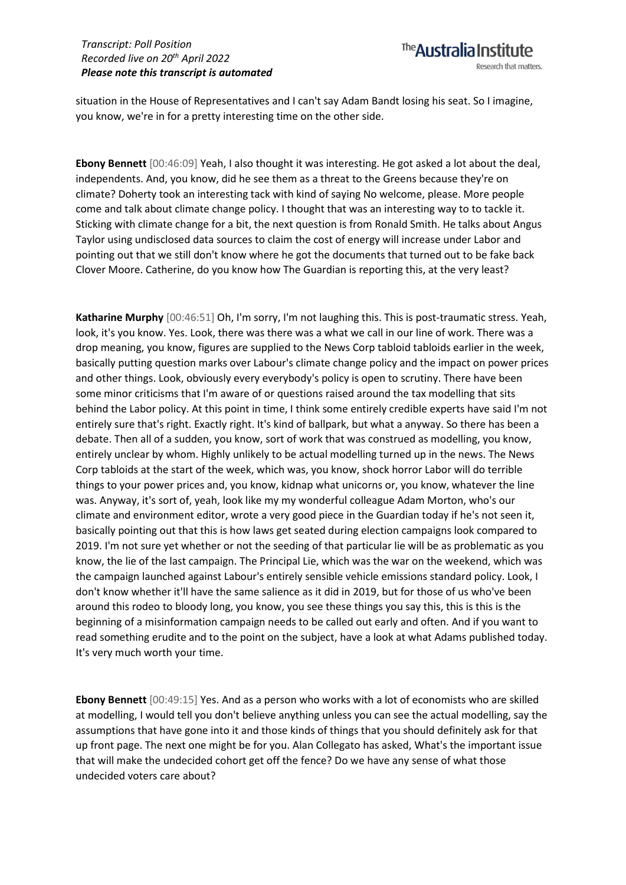situation in the House of Representatives and I can't say Adam Bandt losing his seat. So I imagine, you know, we're in for a pretty interesting time on the other side.

**Ebony Bennett** [00:46:09] Yeah, I also thought it was interesting. He got asked a lot about the deal, independents. And, you know, did he see them as a threat to the Greens because they're on climate? Doherty took an interesting tack with kind of saying No welcome, please. More people come and talk about climate change policy. I thought that was an interesting way to to tackle it. Sticking with climate change for a bit, the next question is from Ronald Smith. He talks about Angus Taylor using undisclosed data sources to claim the cost of energy will increase under Labor and pointing out that we still don't know where he got the documents that turned out to be fake back Clover Moore. Catherine, do you know how The Guardian is reporting this, at the very least?

**Katharine Murphy** [00:46:51] Oh, I'm sorry, I'm not laughing this. This is post-traumatic stress. Yeah, look, it's you know. Yes. Look, there was there was a what we call in our line of work. There was a drop meaning, you know, figures are supplied to the News Corp tabloid tabloids earlier in the week, basically putting question marks over Labour's climate change policy and the impact on power prices and other things. Look, obviously every everybody's policy is open to scrutiny. There have been some minor criticisms that I'm aware of or questions raised around the tax modelling that sits behind the Labor policy. At this point in time, I think some entirely credible experts have said I'm not entirely sure that's right. Exactly right. It's kind of ballpark, but what a anyway. So there has been a debate. Then all of a sudden, you know, sort of work that was construed as modelling, you know, entirely unclear by whom. Highly unlikely to be actual modelling turned up in the news. The News Corp tabloids at the start of the week, which was, you know, shock horror Labor will do terrible things to your power prices and, you know, kidnap what unicorns or, you know, whatever the line was. Anyway, it's sort of, yeah, look like my my wonderful colleague Adam Morton, who's our climate and environment editor, wrote a very good piece in the Guardian today if he's not seen it, basically pointing out that this is how laws get seated during election campaigns look compared to 2019. I'm not sure yet whether or not the seeding of that particular lie will be as problematic as you know, the lie of the last campaign. The Principal Lie, which was the war on the weekend, which was the campaign launched against Labour's entirely sensible vehicle emissions standard policy. Look, I don't know whether it'll have the same salience as it did in 2019, but for those of us who've been around this rodeo to bloody long, you know, you see these things you say this, this is this is the beginning of a misinformation campaign needs to be called out early and often. And if you want to read something erudite and to the point on the subject, have a look at what Adams published today. It's very much worth your time.

**Ebony Bennett** [00:49:15] Yes. And as a person who works with a lot of economists who are skilled at modelling, I would tell you don't believe anything unless you can see the actual modelling, say the assumptions that have gone into it and those kinds of things that you should definitely ask for that up front page. The next one might be for you. Alan Collegato has asked, What's the important issue that will make the undecided cohort get off the fence? Do we have any sense of what those undecided voters care about?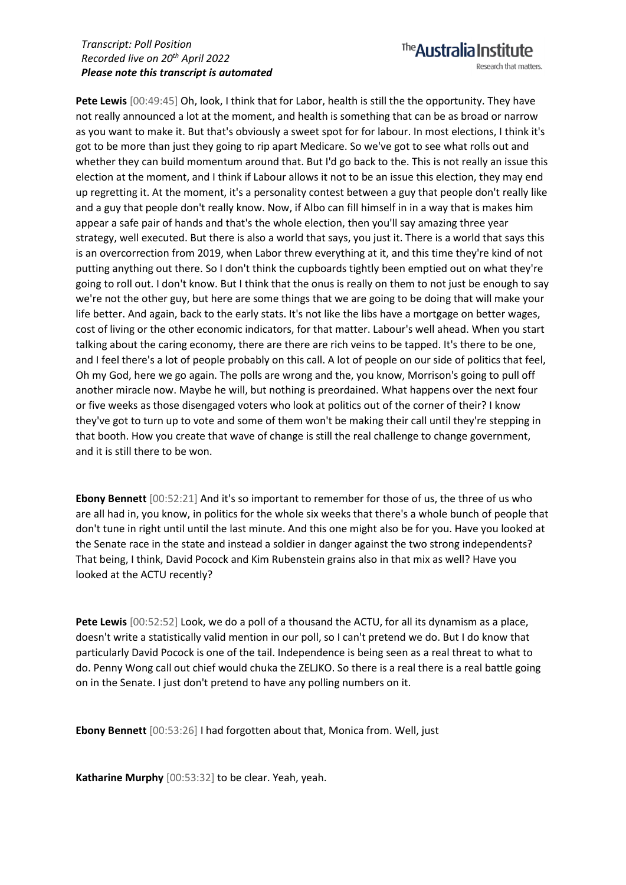Pete Lewis  $[00:49:45]$  Oh, look, I think that for Labor, health is still the the opportunity. They have not really announced a lot at the moment, and health is something that can be as broad or narrow as you want to make it. But that's obviously a sweet spot for for labour. In most elections, I think it's got to be more than just they going to rip apart Medicare. So we've got to see what rolls out and whether they can build momentum around that. But I'd go back to the. This is not really an issue this election at the moment, and I think if Labour allows it not to be an issue this election, they may end up regretting it. At the moment, it's a personality contest between a guy that people don't really like and a guy that people don't really know. Now, if Albo can fill himself in in a way that is makes him appear a safe pair of hands and that's the whole election, then you'll say amazing three year strategy, well executed. But there is also a world that says, you just it. There is a world that says this is an overcorrection from 2019, when Labor threw everything at it, and this time they're kind of not putting anything out there. So I don't think the cupboards tightly been emptied out on what they're going to roll out. I don't know. But I think that the onus is really on them to not just be enough to say we're not the other guy, but here are some things that we are going to be doing that will make your life better. And again, back to the early stats. It's not like the libs have a mortgage on better wages, cost of living or the other economic indicators, for that matter. Labour's well ahead. When you start talking about the caring economy, there are there are rich veins to be tapped. It's there to be one, and I feel there's a lot of people probably on this call. A lot of people on our side of politics that feel, Oh my God, here we go again. The polls are wrong and the, you know, Morrison's going to pull off another miracle now. Maybe he will, but nothing is preordained. What happens over the next four or five weeks as those disengaged voters who look at politics out of the corner of their? I know they've got to turn up to vote and some of them won't be making their call until they're stepping in that booth. How you create that wave of change is still the real challenge to change government, and it is still there to be won.

**Ebony Bennett** [00:52:21] And it's so important to remember for those of us, the three of us who are all had in, you know, in politics for the whole six weeks that there's a whole bunch of people that don't tune in right until until the last minute. And this one might also be for you. Have you looked at the Senate race in the state and instead a soldier in danger against the two strong independents? That being, I think, David Pocock and Kim Rubenstein grains also in that mix as well? Have you looked at the ACTU recently?

**Pete Lewis** [00:52:52] Look, we do a poll of a thousand the ACTU, for all its dynamism as a place, doesn't write a statistically valid mention in our poll, so I can't pretend we do. But I do know that particularly David Pocock is one of the tail. Independence is being seen as a real threat to what to do. Penny Wong call out chief would chuka the ZELJKO. So there is a real there is a real battle going on in the Senate. I just don't pretend to have any polling numbers on it.

**Ebony Bennett** [00:53:26] I had forgotten about that, Monica from. Well, just

**Katharine Murphy** [00:53:32] to be clear. Yeah, yeah.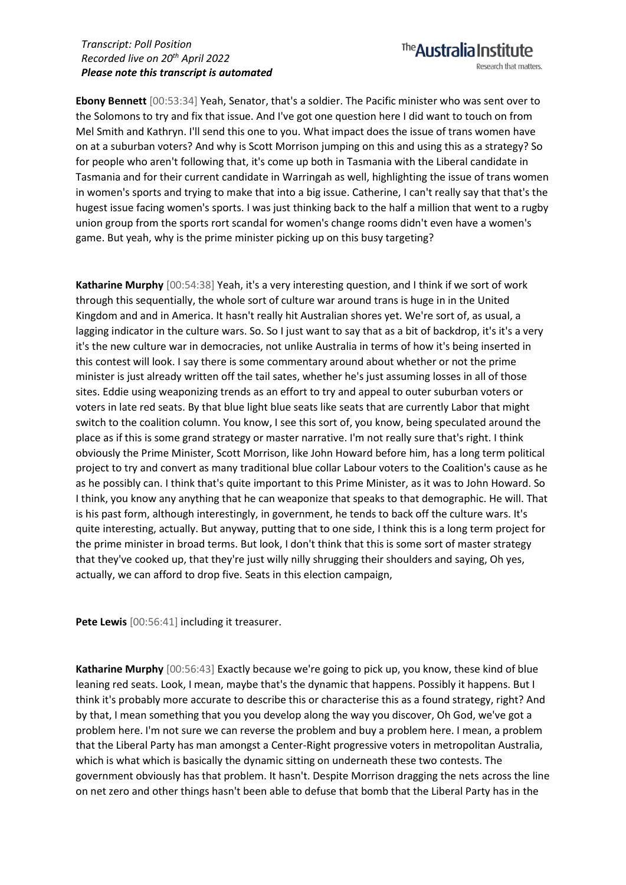**Ebony Bennett** [00:53:34] Yeah, Senator, that's a soldier. The Pacific minister who was sent over to the Solomons to try and fix that issue. And I've got one question here I did want to touch on from Mel Smith and Kathryn. I'll send this one to you. What impact does the issue of trans women have on at a suburban voters? And why is Scott Morrison jumping on this and using this as a strategy? So for people who aren't following that, it's come up both in Tasmania with the Liberal candidate in Tasmania and for their current candidate in Warringah as well, highlighting the issue of trans women in women's sports and trying to make that into a big issue. Catherine, I can't really say that that's the hugest issue facing women's sports. I was just thinking back to the half a million that went to a rugby union group from the sports rort scandal for women's change rooms didn't even have a women's game. But yeah, why is the prime minister picking up on this busy targeting?

**Katharine Murphy** [00:54:38] Yeah, it's a very interesting question, and I think if we sort of work through this sequentially, the whole sort of culture war around trans is huge in in the United Kingdom and and in America. It hasn't really hit Australian shores yet. We're sort of, as usual, a lagging indicator in the culture wars. So. So I just want to say that as a bit of backdrop, it's it's a very it's the new culture war in democracies, not unlike Australia in terms of how it's being inserted in this contest will look. I say there is some commentary around about whether or not the prime minister is just already written off the tail sates, whether he's just assuming losses in all of those sites. Eddie using weaponizing trends as an effort to try and appeal to outer suburban voters or voters in late red seats. By that blue light blue seats like seats that are currently Labor that might switch to the coalition column. You know, I see this sort of, you know, being speculated around the place as if this is some grand strategy or master narrative. I'm not really sure that's right. I think obviously the Prime Minister, Scott Morrison, like John Howard before him, has a long term political project to try and convert as many traditional blue collar Labour voters to the Coalition's cause as he as he possibly can. I think that's quite important to this Prime Minister, as it was to John Howard. So I think, you know any anything that he can weaponize that speaks to that demographic. He will. That is his past form, although interestingly, in government, he tends to back off the culture wars. It's quite interesting, actually. But anyway, putting that to one side, I think this is a long term project for the prime minister in broad terms. But look, I don't think that this is some sort of master strategy that they've cooked up, that they're just willy nilly shrugging their shoulders and saying, Oh yes, actually, we can afford to drop five. Seats in this election campaign,

**Pete Lewis** [00:56:41] including it treasurer.

**Katharine Murphy** [00:56:43] Exactly because we're going to pick up, you know, these kind of blue leaning red seats. Look, I mean, maybe that's the dynamic that happens. Possibly it happens. But I think it's probably more accurate to describe this or characterise this as a found strategy, right? And by that, I mean something that you you develop along the way you discover, Oh God, we've got a problem here. I'm not sure we can reverse the problem and buy a problem here. I mean, a problem that the Liberal Party has man amongst a Center-Right progressive voters in metropolitan Australia, which is what which is basically the dynamic sitting on underneath these two contests. The government obviously has that problem. It hasn't. Despite Morrison dragging the nets across the line on net zero and other things hasn't been able to defuse that bomb that the Liberal Party has in the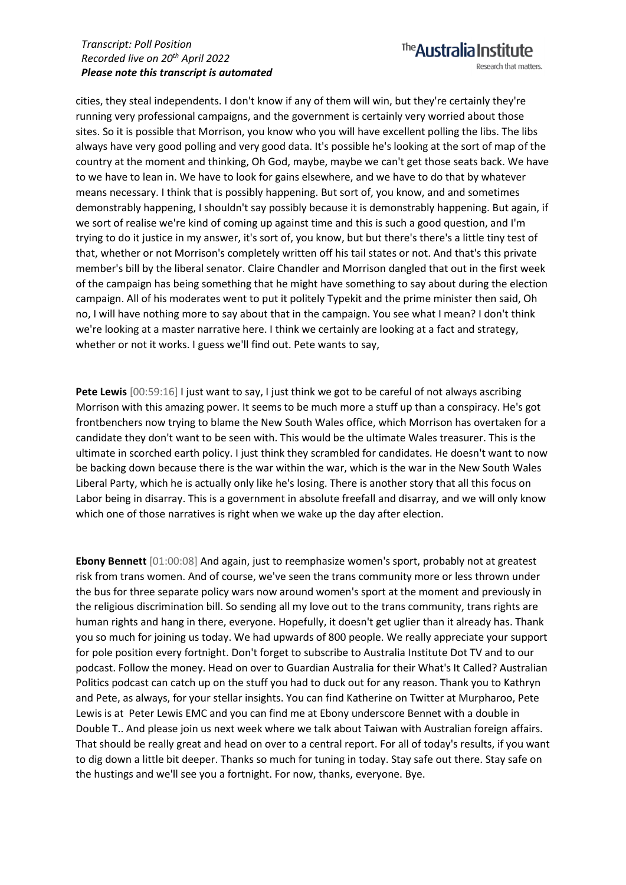cities, they steal independents. I don't know if any of them will win, but they're certainly they're running very professional campaigns, and the government is certainly very worried about those sites. So it is possible that Morrison, you know who you will have excellent polling the libs. The libs always have very good polling and very good data. It's possible he's looking at the sort of map of the country at the moment and thinking, Oh God, maybe, maybe we can't get those seats back. We have to we have to lean in. We have to look for gains elsewhere, and we have to do that by whatever means necessary. I think that is possibly happening. But sort of, you know, and and sometimes demonstrably happening, I shouldn't say possibly because it is demonstrably happening. But again, if we sort of realise we're kind of coming up against time and this is such a good question, and I'm trying to do it justice in my answer, it's sort of, you know, but but there's there's a little tiny test of that, whether or not Morrison's completely written off his tail states or not. And that's this private member's bill by the liberal senator. Claire Chandler and Morrison dangled that out in the first week of the campaign has being something that he might have something to say about during the election campaign. All of his moderates went to put it politely Typekit and the prime minister then said, Oh no, I will have nothing more to say about that in the campaign. You see what I mean? I don't think we're looking at a master narrative here. I think we certainly are looking at a fact and strategy, whether or not it works. I guess we'll find out. Pete wants to say,

**Pete Lewis** [00:59:16] I just want to say, I just think we got to be careful of not always ascribing Morrison with this amazing power. It seems to be much more a stuff up than a conspiracy. He's got frontbenchers now trying to blame the New South Wales office, which Morrison has overtaken for a candidate they don't want to be seen with. This would be the ultimate Wales treasurer. This is the ultimate in scorched earth policy. I just think they scrambled for candidates. He doesn't want to now be backing down because there is the war within the war, which is the war in the New South Wales Liberal Party, which he is actually only like he's losing. There is another story that all this focus on Labor being in disarray. This is a government in absolute freefall and disarray, and we will only know which one of those narratives is right when we wake up the day after election.

**Ebony Bennett** [01:00:08] And again, just to reemphasize women's sport, probably not at greatest risk from trans women. And of course, we've seen the trans community more or less thrown under the bus for three separate policy wars now around women's sport at the moment and previously in the religious discrimination bill. So sending all my love out to the trans community, trans rights are human rights and hang in there, everyone. Hopefully, it doesn't get uglier than it already has. Thank you so much for joining us today. We had upwards of 800 people. We really appreciate your support for pole position every fortnight. Don't forget to subscribe to Australia Institute Dot TV and to our podcast. Follow the money. Head on over to Guardian Australia for their What's It Called? Australian Politics podcast can catch up on the stuff you had to duck out for any reason. Thank you to Kathryn and Pete, as always, for your stellar insights. You can find Katherine on Twitter at Murpharoo, Pete Lewis is at Peter Lewis EMC and you can find me at Ebony underscore Bennet with a double in Double T.. And please join us next week where we talk about Taiwan with Australian foreign affairs. That should be really great and head on over to a central report. For all of today's results, if you want to dig down a little bit deeper. Thanks so much for tuning in today. Stay safe out there. Stay safe on the hustings and we'll see you a fortnight. For now, thanks, everyone. Bye.